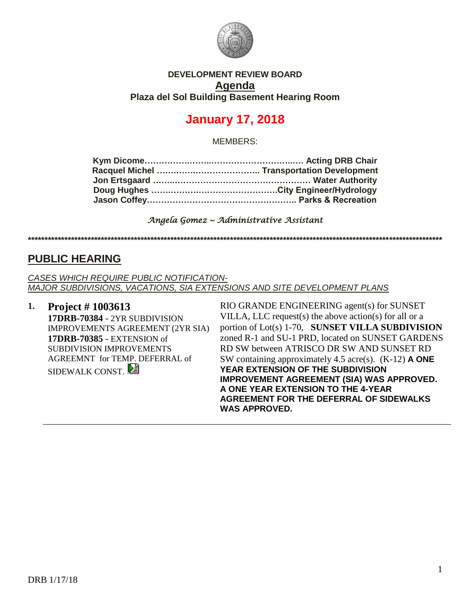

#### **DEVELOPMENT REVIEW BOARD Agenda Plaza del Sol Building Basement Hearing Room**

# **January 17, 2018**

MEMBERS:

*Angela Gomez ~ Administrative Assistant* 

**\*\*\*\*\*\*\*\*\*\*\*\*\*\*\*\*\*\*\*\*\*\*\*\*\*\*\*\*\*\*\*\*\*\*\*\*\*\*\*\*\*\*\*\*\*\*\*\*\*\*\*\*\*\*\*\*\*\*\*\*\*\*\*\*\*\*\*\*\*\*\*\*\*\*\*\*\*\*\*\*\*\*\*\*\*\*\*\*\*\*\*\*\*\*\*\*\*\*\*\*\*\*\*\*\*\*\*\*\*\*\*\*\*\*\*\*\*\*\*\*\*\*\*\*\***

## **PUBLIC HEARING**

*CASES WHICH REQUIRE PUBLIC NOTIFICATION-MAJOR SUBDIVISIONS, VACATIONS, SIA EXTENSIONS AND SITE DEVELOPMENT PLANS*

**1. Project # 1003613 17DRB-70384** - 2YR SUBDIVISION IMPROVEMENTS AGREEMENT (2YR SIA) **17DRB-70385** - EXTENSION of SUBDIVISION IMPROVEMENTS AGREEMNT for TEMP. DEFERRAL of SIDEWALK CONST.

RIO GRANDE ENGINEERING agent(s) for SUNSET VILLA, LLC request(s) the above action(s) for all or a portion of Lot(s) 1-70, **SUNSET VILLA SUBDIVISION** zoned R-1 and SU-1 PRD, located on SUNSET GARDENS RD SW between ATRISCO DR SW AND SUNSET RD SW containing approximately 4.5 acre(s). (K-12) **A ONE YEAR EXTENSION OF THE SUBDIVISION IMPROVEMENT AGREEMENT (SIA) WAS APPROVED. A ONE YEAR EXTENSION TO THE 4-YEAR AGREEMENT FOR THE DEFERRAL OF SIDEWALKS WAS APPROVED.**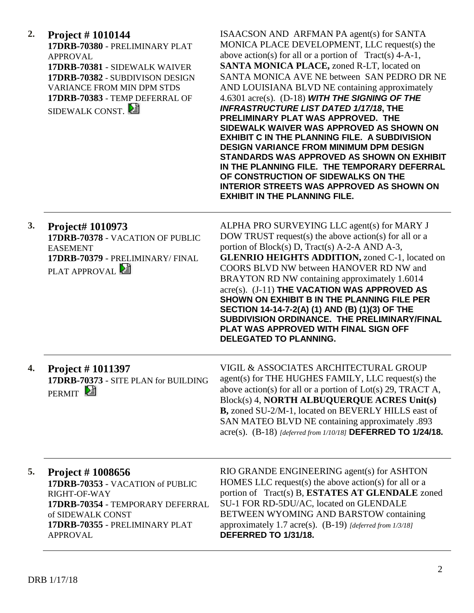| 2. | <b>Project #1010144</b><br>17DRB-70380 - PRELIMINARY PLAT<br><b>APPROVAL</b><br>17DRB-70381 - SIDEWALK WAIVER<br>17DRB-70382 - SUBDIVISON DESIGN<br><b>VARIANCE FROM MIN DPM STDS</b><br>17DRB-70383 - TEMP DEFERRAL OF<br>SIDEWALK CONST. | ISAACSON AND ARFMAN PA agent(s) for SANTA<br>MONICA PLACE DEVELOPMENT, LLC request(s) the<br>above action(s) for all or a portion of $Tract(s)$ 4-A-1,<br>SANTA MONICA PLACE, zoned R-LT, located on<br>SANTA MONICA AVE NE between SAN PEDRO DR NE<br>AND LOUISIANA BLVD NE containing approximately<br>4.6301 $\arccos$ . (D-18) WITH THE SIGNING OF THE<br><b>INFRASTRUCTURE LIST DATED 1/17/18, THE</b><br>PRELIMINARY PLAT WAS APPROVED. THE<br>SIDEWALK WAIVER WAS APPROVED AS SHOWN ON<br><b>EXHIBIT C IN THE PLANNING FILE. A SUBDIVISION</b><br><b>DESIGN VARIANCE FROM MINIMUM DPM DESIGN</b><br>STANDARDS WAS APPROVED AS SHOWN ON EXHIBIT<br>IN THE PLANNING FILE. THE TEMPORARY DEFERRAL<br>OF CONSTRUCTION OF SIDEWALKS ON THE<br><b>INTERIOR STREETS WAS APPROVED AS SHOWN ON</b><br><b>EXHIBIT IN THE PLANNING FILE.</b> |
|----|--------------------------------------------------------------------------------------------------------------------------------------------------------------------------------------------------------------------------------------------|------------------------------------------------------------------------------------------------------------------------------------------------------------------------------------------------------------------------------------------------------------------------------------------------------------------------------------------------------------------------------------------------------------------------------------------------------------------------------------------------------------------------------------------------------------------------------------------------------------------------------------------------------------------------------------------------------------------------------------------------------------------------------------------------------------------------------------------|
| 3. | Project# 1010973<br>17DRB-70378 - VACATION OF PUBLIC<br><b>EASEMENT</b><br>17DRB-70379 - PRELIMINARY/ FINAL<br>PLAT APPROVAL                                                                                                               | ALPHA PRO SURVEYING LLC agent(s) for MARY J<br>DOW TRUST request(s) the above action(s) for all or a<br>portion of Block(s) D, Tract(s) A-2-A AND A-3,<br><b>GLENRIO HEIGHTS ADDITION, zoned C-1, located on</b><br>COORS BLVD NW between HANOVER RD NW and<br>BRAYTON RD NW containing approximately 1.6014<br>acre(s). (J-11) THE VACATION WAS APPROVED AS<br>SHOWN ON EXHIBIT B IN THE PLANNING FILE PER<br>SECTION 14-14-7-2(A) (1) AND (B) (1)(3) OF THE<br>SUBDIVISION ORDINANCE. THE PRELIMINARY/FINAL<br>PLAT WAS APPROVED WITH FINAL SIGN OFF<br><b>DELEGATED TO PLANNING.</b>                                                                                                                                                                                                                                                  |
| 4. | Project #1011397<br>17DRB-70373 - SITE PLAN for BUILDING<br>PERMIT <sup>[2</sup>                                                                                                                                                           | VIGIL & ASSOCIATES ARCHITECTURAL GROUP<br>agent(s) for THE HUGHES FAMILY, LLC request(s) the<br>above action(s) for all or a portion of Lot(s) 29, TRACT A,<br>Block(s) 4, NORTH ALBUQUERQUE ACRES Unit(s)<br>B, zoned SU-2/M-1, located on BEVERLY HILLS east of<br>SAN MATEO BLVD NE containing approximately .893<br>acre(s). (B-18) [deferred from 1/10/18] DEFERRED TO 1/24/18.                                                                                                                                                                                                                                                                                                                                                                                                                                                     |
| 5. | Project # 1008656<br>17DRB-70353 - VACATION of PUBLIC<br>RIGHT-OF-WAY<br>17DRB-70354 - TEMPORARY DEFERRAL<br>of SIDEWALK CONST<br>17DRB-70355 - PRELIMINARY PLAT<br><b>APPROVAL</b>                                                        | RIO GRANDE ENGINEERING agent(s) for ASHTON<br>HOMES LLC request(s) the above action(s) for all or a<br>portion of Tract(s) B, ESTATES AT GLENDALE zoned<br>SU-1 FOR RD-5DU/AC, located on GLENDALE<br>BETWEEN WYOMING AND BARSTOW containing<br>approximately 1.7 acre(s). (B-19) [deferred from 1/3/18]<br>DEFERRED TO 1/31/18.                                                                                                                                                                                                                                                                                                                                                                                                                                                                                                         |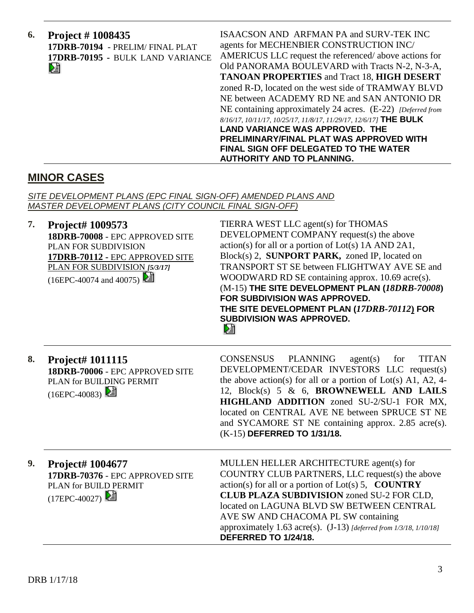| 6.<br><b>Project #1008435</b><br>17DRB-70194 - PRELIM/FINAL PLAT<br>17DRB-70195 - BULK LAND VARIANCE<br>⊵∃ | ISAACSON AND ARFMAN PA and SURV-TEK INC<br>agents for MECHENBIER CONSTRUCTION INC/<br>AMERICUS LLC request the referenced/above actions for<br>Old PANORAMA BOULEVARD with Tracts N-2, N-3-A,<br><b>TANOAN PROPERTIES and Tract 18, HIGH DESERT</b><br>zoned R-D, located on the west side of TRAMWAY BLVD<br>NE between ACADEMY RD NE and SAN ANTONIO DR<br>NE containing approximately 24 acres. (E-22) [Deferred from<br>8/16/17, 10/11/17, 10/25/17, 11/8/17, 11/29/17, 12/6/17] THE BULK |
|------------------------------------------------------------------------------------------------------------|-----------------------------------------------------------------------------------------------------------------------------------------------------------------------------------------------------------------------------------------------------------------------------------------------------------------------------------------------------------------------------------------------------------------------------------------------------------------------------------------------|
|                                                                                                            | <b>LAND VARIANCE WAS APPROVED. THE</b><br>PRELIMINARY/FINAL PLAT WAS APPROVED WITH<br><b>FINAL SIGN OFF DELEGATED TO THE WATER</b><br><b>AUTHORITY AND TO PLANNING.</b>                                                                                                                                                                                                                                                                                                                       |

## **MINOR CASES**

*SITE DEVELOPMENT PLANS (EPC FINAL SIGN-OFF) AMENDED PLANS AND MASTER DEVELOPMENT PLANS (CITY COUNCIL FINAL SIGN-OFF)*

| 7. | Project# 1009573<br>18DRB-70008 - EPC APPROVED SITE<br>PLAN FOR SUBDIVISION<br>17DRB-70112 - EPC APPROVED SITE<br>PLAN FOR SUBDIVISION [5/3/17]<br>(16EPC-40074 and 40075) | TIERRA WEST LLC agent(s) for THOMAS<br>DEVELOPMENT COMPANY request(s) the above<br>$action(s)$ for all or a portion of $Lot(s)$ 1A AND 2A1,<br>Block(s) 2, SUNPORT PARK, zoned IP, located on<br>TRANSPORT ST SE between FLIGHTWAY AVE SE and<br>WOODWARD RD SE containing approx. 10.69 acre(s).<br>(M-15) THE SITE DEVELOPMENT PLAN (18DRB-70008)<br><b>FOR SUBDIVISION WAS APPROVED.</b><br>THE SITE DEVELOPMENT PLAN (17DRB-70112) FOR<br><b>SUBDIVISION WAS APPROVED.</b><br>巆 |
|----|----------------------------------------------------------------------------------------------------------------------------------------------------------------------------|-------------------------------------------------------------------------------------------------------------------------------------------------------------------------------------------------------------------------------------------------------------------------------------------------------------------------------------------------------------------------------------------------------------------------------------------------------------------------------------|
| 8. | Project# 1011115<br>18DRB-70006 - EPC APPROVED SITE<br>PLAN for BUILDING PERMIT<br>$(16EPC-40083)$                                                                         | <b>TITAN</b><br><b>CONSENSUS</b><br><b>PLANNING</b><br>agent(s)<br>for<br>DEVELOPMENT/CEDAR INVESTORS LLC request(s)<br>the above action(s) for all or a portion of Lot(s) A1, A2, 4-<br>12, Block(s) 5 & 6, BROWNEWELL AND LAILS<br>HIGHLAND ADDITION zoned SU-2/SU-1 FOR MX,<br>located on CENTRAL AVE NE between SPRUCE ST NE<br>and SYCAMORE ST NE containing approx. 2.85 acre(s).<br>(K-15) DEFERRED TO 1/31/18.                                                              |
| 9. | <b>Project# 1004677</b><br>17DRB-70376 - EPC APPROVED SITE<br>PLAN for BUILD PERMIT<br>$(17EPC-40027)$ 2                                                                   | MULLEN HELLER ARCHITECTURE agent(s) for<br>COUNTRY CLUB PARTNERS, LLC request(s) the above<br>$action(s)$ for all or a portion of Lot(s) 5, <b>COUNTRY</b><br><b>CLUB PLAZA SUBDIVISION</b> zoned SU-2 FOR CLD,<br>located on LAGUNA BLVD SW BETWEEN CENTRAL<br>AVE SW AND CHACOMA PL SW containing<br>approximately 1.63 acre(s). $(J-13)$ [deferred from 1/3/18, 1/10/18]<br>DEFERRED TO 1/24/18.                                                                                 |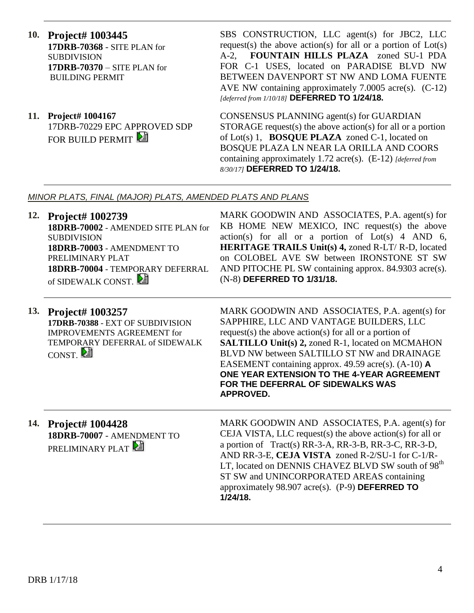- **10. Project# 1003445 17DRB-70368** - SITE PLAN for SUBDIVISION **17DRB-70370** – SITE PLAN for BUILDING PERMIT
- **11. Project# 1004167** 17DRB-70229 EPC APPROVED SDP FOR BUILD PERMIT

SBS CONSTRUCTION, LLC agent(s) for JBC2, LLC request(s) the above action(s) for all or a portion of  $Lot(s)$ A-2, **FOUNTAIN HILLS PLAZA** zoned SU-1 PDA FOR C-1 USES, located on PARADISE BLVD NW BETWEEN DAVENPORT ST NW AND LOMA FUENTE AVE NW containing approximately 7.0005 acre(s). (C-12) *[deferred from 1/10/18]* **DEFERRED TO 1/24/18.**

CONSENSUS PLANNING agent(s) for GUARDIAN STORAGE request(s) the above action(s) for all or a portion of Lot(s) 1, **BOSQUE PLAZA** zoned C-1, located on BOSQUE PLAZA LN NEAR LA ORILLA AND COORS containing approximately 1.72 acre(s). (E-12) *[deferred from 8/30/17]* **DEFERRED TO 1/24/18.**

#### *MINOR PLATS, FINAL (MAJOR) PLATS, AMENDED PLATS AND PLANS*

**12. Project# 1002739 18DRB-70002** - AMENDED SITE PLAN for SUBDIVISION **18DRB-70003** - AMENDMENT TO PRELIMINARY PLAT **18DRB-70004** - TEMPORARY DEFERRAL of SIDEWALK CONST

MARK GOODWIN AND ASSOCIATES, P.A. agent(s) for KB HOME NEW MEXICO, INC request(s) the above  $action(s)$  for all or a portion of  $Lot(s)$  4 AND 6, **HERITAGE TRAILS Unit(s) 4,** zoned R-LT/ R-D, located on COLOBEL AVE SW between IRONSTONE ST SW AND PITOCHE PL SW containing approx. 84.9303 acre(s). (N-8) **DEFERRED TO 1/31/18.**

**13. Project# 1003257 17DRB-70388** - EXT OF SUBDIVISION IMPROVEMENTS AGREEMENT for TEMPORARY DEFERRAL of SIDEWALK CONST.

MARK GOODWIN AND ASSOCIATES, P.A. agent(s) for SAPPHIRE, LLC AND VANTAGE BUILDERS, LLC request(s) the above action(s) for all or a portion of **SALTILLO Unit(s) 2,** zoned R-1, located on MCMAHON BLVD NW between SALTILLO ST NW and DRAINAGE EASEMENT containing approx. 49.59 acre(s). (A-10) **A ONE YEAR EXTENSION TO THE 4-YEAR AGREEMENT FOR THE DEFERRAL OF SIDEWALKS WAS APPROVED.**

**14. Project# 1004428 18DRB-70007** - AMENDMENT TO PRELIMINARY PLAT

MARK GOODWIN AND ASSOCIATES, P.A. agent(s) for CEJA VISTA, LLC request(s) the above action(s) for all or a portion of Tract(s) RR-3-A, RR-3-B, RR-3-C, RR-3-D, AND RR-3-E, **CEJA VISTA** zoned R-2/SU-1 for C-1/R-LT, located on DENNIS CHAVEZ BLVD SW south of 98<sup>th</sup> ST SW and UNINCORPORATED AREAS containing approximately 98.907 acre(s). (P-9) **DEFERRED TO 1/24/18.**